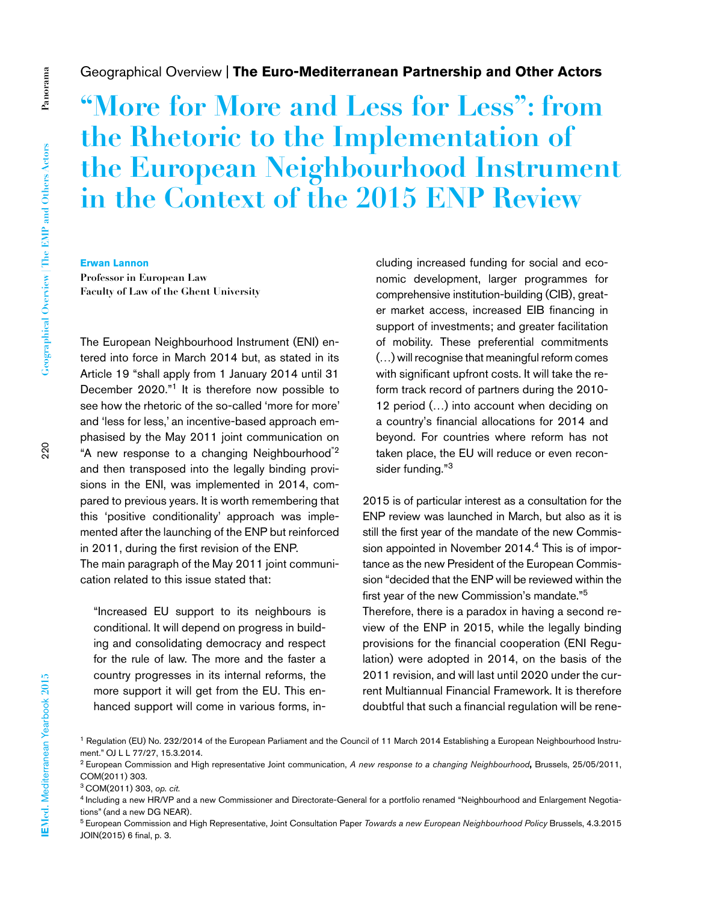## Geographical Overview | **The Euro-Mediterranean Partnership and Other Actors**

# **"More for More and Less for Less": from the Rhetoric to the Implementation of the European Neighbourhood Instrument in the Context of the 2015 ENP Review**

**Erwan Lannon**

**Professor in European Law Faculty of Law of the Ghent University** 

The European Neighbourhood Instrument (ENI) entered into force in March 2014 but, as stated in its Article 19 "shall apply from 1 January 2014 until 31 December 2020."1 It is therefore now possible to see how the rhetoric of the so-called 'more for more' and 'less for less,' an incentive-based approach emphasised by the May 2011 joint communication on "A new response to a changing Neighbourhood"2 and then transposed into the legally binding provisions in the ENI, was implemented in 2014, compared to previous years. It is worth remembering that this 'positive conditionality' approach was implemented after the launching of the ENP but reinforced in 2011, during the first revision of the ENP. The main paragraph of the May 2011 joint communication related to this issue stated that:

"Increased EU support to its neighbours is conditional. It will depend on progress in building and consolidating democracy and respect for the rule of law. The more and the faster a country progresses in its internal reforms, the more support it will get from the EU. This enhanced support will come in various forms, including increased funding for social and economic development, larger programmes for comprehensive institution-building (CIB), greater market access, increased EIB financing in support of investments; and greater facilitation of mobility. These preferential commitments (…) will recognise that meaningful reform comes with significant upfront costs. It will take the reform track record of partners during the 2010- 12 period (…) into account when deciding on a country's financial allocations for 2014 and beyond. For countries where reform has not taken place, the EU will reduce or even reconsider funding."3

2015 is of particular interest as a consultation for the ENP review was launched in March, but also as it is still the first year of the mandate of the new Commission appointed in November 2014.4 This is of importance as the new President of the European Commission "decided that the ENP will be reviewed within the first year of the new Commission's mandate."5

Therefore, there is a paradox in having a second review of the ENP in 2015, while the legally binding provisions for the financial cooperation (ENI Regulation) were adopted in 2014, on the basis of the 2011 revision, and will last until 2020 under the current Multiannual Financial Framework. It is therefore doubtful that such a financial regulation will be rene-

<sup>&</sup>lt;sup>1</sup> Regulation (EU) No. 232/2014 of the European Parliament and the Council of 11 March 2014 Establishing a European Neighbourhood Instrument." OJ L L 77/27, 15.3.2014.

<sup>2</sup> European Commission and High representative Joint communication, *A new response to a changing Neighbourhood***,** Brussels, 25/05/2011, COM(2011) 303.

<sup>&</sup>lt;sup>3</sup> COM(2011) 303, *op. cit.*<br><sup>4</sup> Including a new HR/VP and a new Commissioner and Directorate-General for a portfolio renamed "Neighbourhood and Enlargement Negotiations" (and a new DG NEAR).

<sup>5</sup> European Commission and High Representative, Joint Consultation Paper *Towards a new European Neighbourhood Policy* Brussels, 4.3.2015 JOIN(2015) 6 final, p. 3.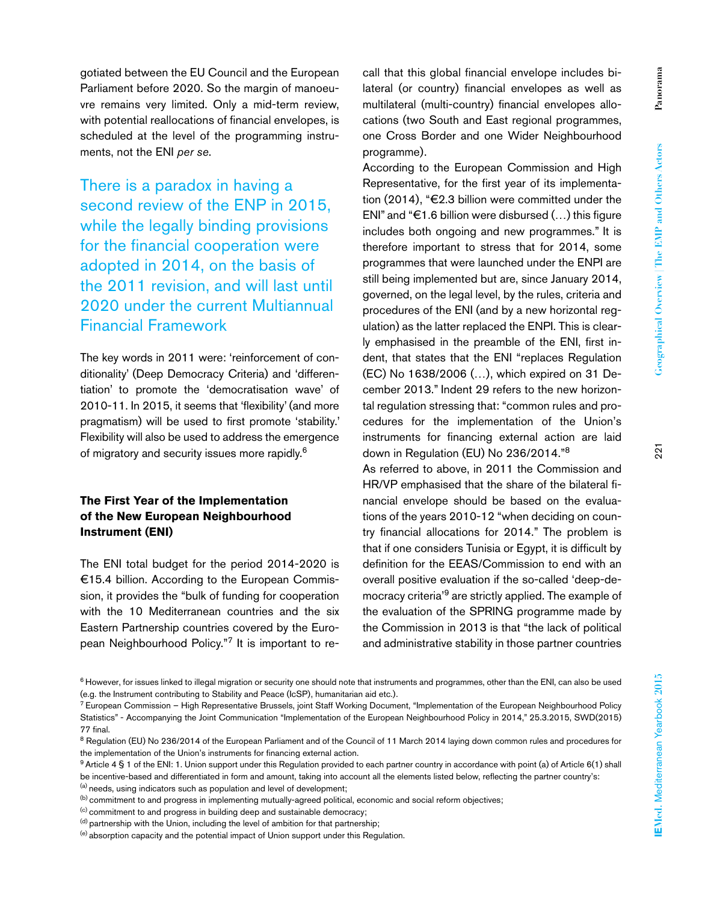gotiated between the EU Council and the European Parliament before 2020. So the margin of manoeuvre remains very limited. Only a mid-term review, with potential reallocations of financial envelopes, is scheduled at the level of the programming instruments, not the ENI *per se*.

There is a paradox in having a second review of the ENP in 2015, while the legally binding provisions for the financial cooperation were adopted in 2014, on the basis of the 2011 revision, and will last until 2020 under the current Multiannual Financial Framework

The key words in 2011 were: 'reinforcement of conditionality' (Deep Democracy Criteria) and 'differentiation' to promote the 'democratisation wave' of 2010-11. In 2015, it seems that 'flexibility' (and more pragmatism) will be used to first promote 'stability.' Flexibility will also be used to address the emergence of migratory and security issues more rapidly.6

## **The First Year of the Implementation of the New European Neighbourhood Instrument (ENI)**

The ENI total budget for the period 2014-2020 is €15.4 billion. According to the European Commission, it provides the "bulk of funding for cooperation with the 10 Mediterranean countries and the six Eastern Partnership countries covered by the European Neighbourhood Policy."7 It is important to recall that this global financial envelope includes bilateral (or country) financial envelopes as well as multilateral (multi-country) financial envelopes allocations (two South and East regional programmes, one Cross Border and one Wider Neighbourhood programme).

According to the European Commission and High Representative, for the first year of its implementation (2014), "€2.3 billion were committed under the ENI" and " $\epsilon$ 1.6 billion were disbursed  $(...)$  this figure includes both ongoing and new programmes." It is therefore important to stress that for 2014, some programmes that were launched under the ENPI are still being implemented but are, since January 2014, governed, on the legal level, by the rules, criteria and procedures of the ENI (and by a new horizontal regulation) as the latter replaced the ENPI. This is clearly emphasised in the preamble of the ENI, first indent, that states that the ENI "replaces Regulation (EC) No 1638/2006 (…), which expired on 31 December 2013." Indent 29 refers to the new horizontal regulation stressing that: "common rules and procedures for the implementation of the Union's instruments for financing external action are laid down in Regulation (EU) No 236/2014."8

As referred to above, in 2011 the Commission and HR/VP emphasised that the share of the bilateral financial envelope should be based on the evaluations of the years 2010-12 "when deciding on country financial allocations for 2014." The problem is that if one considers Tunisia or Egypt, it is difficult by definition for the EEAS/Commission to end with an overall positive evaluation if the so-called 'deep-democracy criteria'9 are strictly applied. The example of the evaluation of the SPRING programme made by the Commission in 2013 is that "the lack of political and administrative stability in those partner countries

<sup>&</sup>lt;sup>6</sup> However, for issues linked to illegal migration or security one should note that instruments and programmes, other than the ENI, can also be used (e.g. the Instrument contributing to Stability and Peace (IcSP), humanitarian aid etc.).

<sup>7</sup> European Commission – High Representative Brussels, joint Staff Working Document, "Implementation of the European Neighbourhood Policy Statistics" - Accompanying the Joint Communication "Implementation of the European Neighbourhood Policy in 2014," 25.3.2015, SWD(2015) 77 final.

<sup>8</sup> Regulation (EU) No 236/2014 of the European Parliament and of the Council of 11 March 2014 laying down common rules and procedures for the implementation of the Union's instruments for financing external action.

<sup>9</sup> Article 4 § 1 of the ENI: 1. Union support under this Regulation provided to each partner country in accordance with point (a) of Article 6(1) shall be incentive-based and differentiated in form and amount, taking into account all the elements listed below, reflecting the partner country's: (a) needs, using indicators such as population and level of development;

<sup>(</sup>b) commitment to and progress in implementing mutually-agreed political, economic and social reform objectives;

<sup>(</sup>c) commitment to and progress in building deep and sustainable democracy;

 $<sup>(d)</sup>$  partnership with the Union, including the level of ambition for that partnership;</sup>

<sup>(</sup>e) absorption capacity and the potential impact of Union support under this Regulation.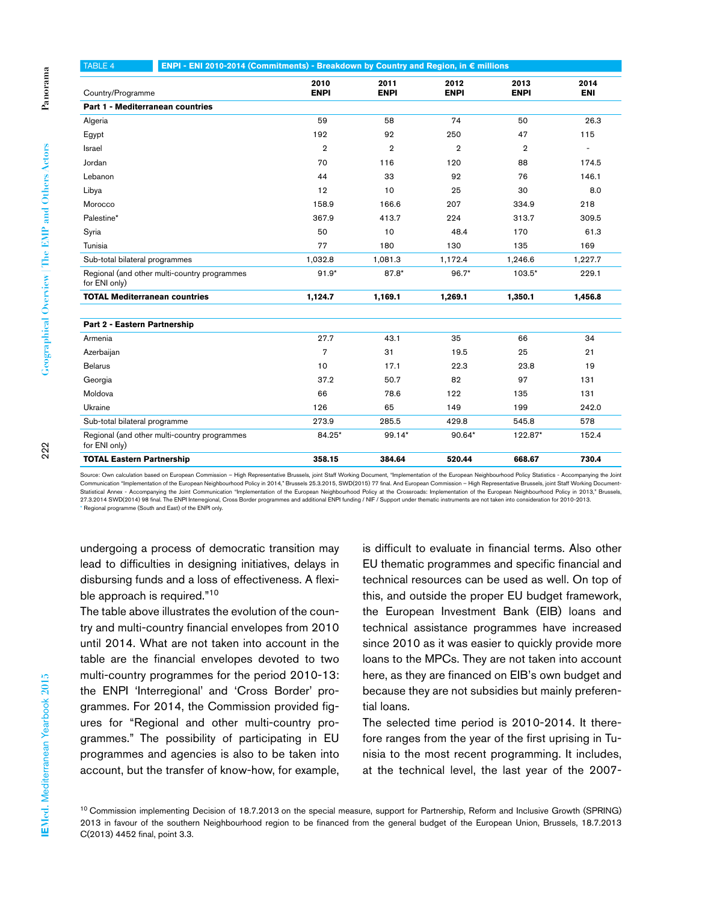| <b>TABLE 4</b>                                                | ENPI - ENI 2010-2014 (Commitments) - Breakdown by Country and Region, in € millions |                     |                     |                     |                     |                    |
|---------------------------------------------------------------|-------------------------------------------------------------------------------------|---------------------|---------------------|---------------------|---------------------|--------------------|
| Country/Programme                                             |                                                                                     | 2010<br><b>ENPI</b> | 2011<br><b>ENPI</b> | 2012<br><b>ENPI</b> | 2013<br><b>ENPI</b> | 2014<br><b>ENI</b> |
| Part 1 - Mediterranean countries                              |                                                                                     |                     |                     |                     |                     |                    |
| Algeria                                                       |                                                                                     | 59                  | 58                  | 74                  | 50                  | 26.3               |
| Egypt                                                         |                                                                                     | 192                 | 92                  | 250                 | 47                  | 115                |
| Israel                                                        |                                                                                     | $\overline{2}$      | $\overline{2}$      | $\overline{2}$      | $\overline{2}$      | $\overline{a}$     |
| Jordan                                                        |                                                                                     | 70                  | 116                 | 120                 | 88                  | 174.5              |
| Lebanon                                                       |                                                                                     | 44                  | 33                  | 92                  | 76                  | 146.1              |
| Libya                                                         |                                                                                     | 12                  | 10                  | 25                  | 30                  | 8.0                |
| Morocco                                                       |                                                                                     | 158.9               | 166.6               | 207                 | 334.9               | 218                |
| Palestine*                                                    |                                                                                     | 367.9               | 413.7               | 224                 | 313.7               | 309.5              |
| Syria                                                         |                                                                                     | 50                  | 10                  | 48.4                | 170                 | 61.3               |
| Tunisia                                                       |                                                                                     | 77                  | 180                 | 130                 | 135                 | 169                |
| Sub-total bilateral programmes                                |                                                                                     | 1,032.8             | 1,081.3             | 1,172.4             | 1,246.6             | 1,227.7            |
| Regional (and other multi-country programmes<br>for ENI only) |                                                                                     | $91.9*$             | 87.8*               | $96.7*$             | $103.5*$            | 229.1              |
| <b>TOTAL Mediterranean countries</b>                          |                                                                                     | 1,124.7             | 1,169.1             | 1,269.1             | 1,350.1             | 1.456.8            |
| Part 2 - Eastern Partnership                                  |                                                                                     |                     |                     |                     |                     |                    |
| Armenia                                                       |                                                                                     | 27.7                | 43.1                | 35                  | 66                  | 34                 |
| Azerbaijan                                                    |                                                                                     | 7                   | 31                  | 19.5                | 25                  | 21                 |
| <b>Belarus</b>                                                |                                                                                     | 10                  | 17.1                | 22.3                | 23.8                | 19                 |
| Georgia                                                       |                                                                                     | 37.2                | 50.7                | 82                  | 97                  | 131                |
| Moldova                                                       |                                                                                     | 66                  | 78.6                | 122                 | 135                 | 131                |
| Ukraine                                                       |                                                                                     | 126                 | 65                  | 149                 | 199                 | 242.0              |
| Sub-total bilateral programme                                 |                                                                                     | 273.9               | 285.5               | 429.8               | 545.8               | 578                |
| Regional (and other multi-country programmes<br>for ENI only) |                                                                                     | 84.25*              | 99.14*              | 90.64*              | 122.87*             | 152.4              |
| <b>TOTAL Eastern Partnership</b>                              |                                                                                     | 358.15              | 384.64              | 520.44              | 668.67              | 730.4              |

Source: Own calculation based on European Commission – High Representative Brussels, joint Staff Working Document, "Implementation of the European Neighbourhood Policy Statistics - Accompanying the Joint Communication "Implementation of the European Neighbourhood Policy in 2014," Brussels 25.3.2015, SWD(2015) 77 final. And European Commission – High Representative Brussels, joint Staff Working Document-Statistical Annex - Accompanying the Joint Communication "Implementation of the European Neighbourhood Policy at the Crossroads: Implementation of the European Neighbourhood Policy in 2013," Brussels,<br>27.3.2014 SWD(2014) 9 \* Regional programme (South and East) of the ENPI only.

disbursing funds and a loss of effectiveness. A flexible approach is required."10 The table above illustrates the evolution of the country and multi-country financial envelopes from 2010 until 2014. What are not taken into account in the table are the financial envelopes devoted to two

multi-country programmes for the period 2010-13: the ENPI 'Interregional' and 'Cross Border' programmes. For 2014, the Commission provided figures for "Regional and other multi-country programmes." The possibility of participating in EU programmes and agencies is also to be taken into account, but the transfer of know-how, for example,

is difficult to evaluate in financial terms. Also other EU thematic programmes and specific financial and technical resources can be used as well. On top of this, and outside the proper EU budget framework, the European Investment Bank (EIB) loans and technical assistance programmes have increased since 2010 as it was easier to quickly provide more loans to the MPCs. They are not taken into account here, as they are financed on EIB's own budget and because they are not subsidies but mainly preferential loans.

The selected time period is 2010-2014. It therefore ranges from the year of the first uprising in Tunisia to the most recent programming. It includes, at the technical level, the last year of the 2007-

<sup>10</sup> Commission implementing Decision of 18.7.2013 on the special measure, support for Partnership, Reform and Inclusive Growth (SPRING) 2013 in favour of the southern Neighbourhood region to be financed from the general budget of the European Union, Brussels, 18.7.2013 C(2013) 4452 final, point 3.3.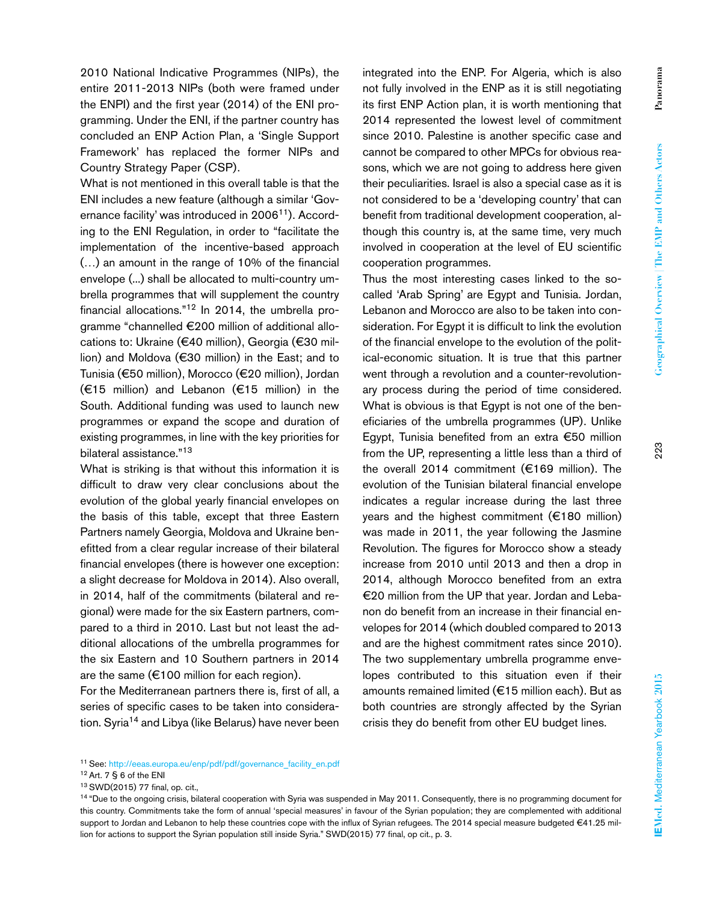2010 National Indicative Programmes (NIPs), the entire 2011-2013 NIPs (both were framed under the ENPI) and the first year (2014) of the ENI programming. Under the ENI, if the partner country has concluded an ENP Action Plan, a 'Single Support Framework' has replaced the former NIPs and Country Strategy Paper (CSP).

What is not mentioned in this overall table is that the ENI includes a new feature (although a similar 'Governance facility' was introduced in 2006<sup>11</sup>). According to the ENI Regulation, in order to "facilitate the implementation of the incentive-based approach (…) an amount in the range of 10% of the financial envelope (...) shall be allocated to multi-country umbrella programmes that will supplement the country financial allocations."12 In 2014, the umbrella programme "channelled €200 million of additional allocations to: Ukraine (€40 million), Georgia (€30 million) and Moldova (€30 million) in the East; and to Tunisia (€50 million), Morocco (€20 million), Jordan (€15 million) and Lebanon (€15 million) in the South. Additional funding was used to launch new programmes or expand the scope and duration of existing programmes, in line with the key priorities for bilateral assistance."13

What is striking is that without this information it is difficult to draw very clear conclusions about the evolution of the global yearly financial envelopes on the basis of this table, except that three Eastern Partners namely Georgia, Moldova and Ukraine benefitted from a clear regular increase of their bilateral financial envelopes (there is however one exception: a slight decrease for Moldova in 2014). Also overall, in 2014, half of the commitments (bilateral and regional) were made for the six Eastern partners, compared to a third in 2010. Last but not least the additional allocations of the umbrella programmes for the six Eastern and 10 Southern partners in 2014 are the same ( $€100$  million for each region).

For the Mediterranean partners there is, first of all, a series of specific cases to be taken into consideration. Syria<sup>14</sup> and Libya (like Belarus) have never been integrated into the ENP. For Algeria, which is also not fully involved in the ENP as it is still negotiating its first ENP Action plan, it is worth mentioning that 2014 represented the lowest level of commitment since 2010. Palestine is another specific case and cannot be compared to other MPCs for obvious reasons, which we are not going to address here given their peculiarities. Israel is also a special case as it is not considered to be a 'developing country' that can benefit from traditional development cooperation, although this country is, at the same time, very much involved in cooperation at the level of EU scientific cooperation programmes.

Thus the most interesting cases linked to the socalled 'Arab Spring' are Egypt and Tunisia. Jordan, Lebanon and Morocco are also to be taken into consideration. For Egypt it is difficult to link the evolution of the financial envelope to the evolution of the political-economic situation. It is true that this partner went through a revolution and a counter-revolutionary process during the period of time considered. What is obvious is that Egypt is not one of the beneficiaries of the umbrella programmes (UP). Unlike Egypt, Tunisia benefited from an extra €50 million from the UP, representing a little less than a third of the overall 2014 commitment (€169 million). The evolution of the Tunisian bilateral financial envelope indicates a regular increase during the last three years and the highest commitment (€180 million) was made in 2011, the year following the Jasmine Revolution. The figures for Morocco show a steady increase from 2010 until 2013 and then a drop in 2014, although Morocco benefited from an extra €20 million from the UP that year. Jordan and Lebanon do benefit from an increase in their financial envelopes for 2014 (which doubled compared to 2013 and are the highest commitment rates since 2010). The two supplementary umbrella programme envelopes contributed to this situation even if their amounts remained limited (€15 million each). But as both countries are strongly affected by the Syrian crisis they do benefit from other EU budget lines.

<sup>&</sup>lt;sup>11</sup> See: http://eeas.europa.eu/enp/pdf/pdf/governance\_facility\_en.pdf

<sup>12</sup> Art. 7 § 6 of the ENI

<sup>&</sup>lt;sup>13</sup> SWD(2015) 77 final, op. cit.,<br><sup>14</sup> "Due to the ongoing crisis, bilateral cooperation with Syria was suspended in May 2011. Consequently, there is no programming document for this country. Commitments take the form of annual 'special measures' in favour of the Syrian population; they are complemented with additional support to Jordan and Lebanon to help these countries cope with the influx of Syrian refugees. The 2014 special measure budgeted €41.25 million for actions to support the Syrian population still inside Syria." SWD(2015) 77 final, op cit., p. 3.